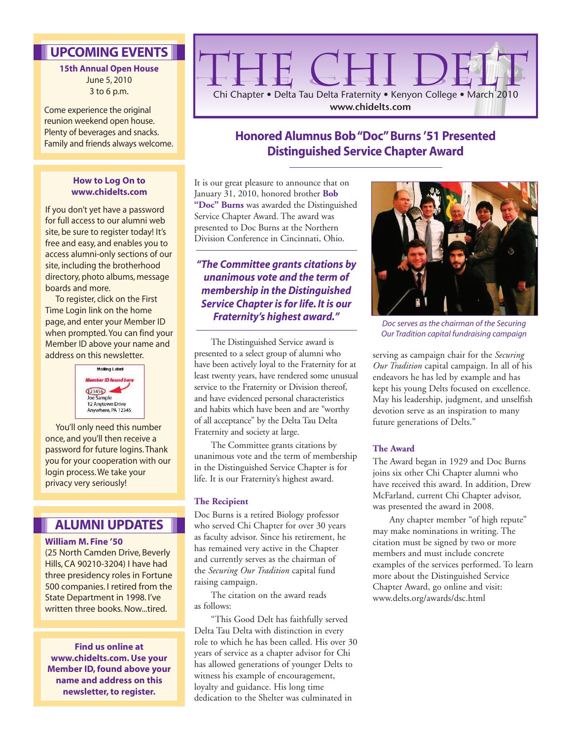## **UPCOMING EVENTS**

#### **15th Annual Open House** June 5, 2010 3 to 6 p.m.

Come experience the original reunion weekend open house. Plenty of beverages and snacks. Family and friends always welcome.

#### **How to Log On to www.chidelts.com**

If you don't yet have a password for full access to our alumni web site, be sure to register today! It's free and easy, and enables you to access alumni-only sections of our site, including the brotherhood directory, photo albums, message boards and more.

To register, click on the First Time Login link on the home page, and enter your Member ID when prompted. You can find your Member ID above your name and address on this newsletter.



You'll only need this number once, and you'll then receive a password for future logins. Thank you for your cooperation with our login process. We take your privacy very seriously!

### **ALUMNI UPDATES**

#### **William M. Fine '50**

(25 North Camden Drive, Beverly Hills, CA 90210-3204) I have had three presidency roles in Fortune 500 companies. I retired from the State Department in 1998. I've written three books. Now. tired.

**Find us online at www.chidelts.com. Use your Member ID, found above your name and address on this newsletter, to register.**



## **Honored Alumnus Bob "Doc" Burns '51 Presented Distinguished Service Chapter Award**

It is our great pleasure to announce that on January 31, 2010, honored brother **Bob "Doc" Burns** was awarded the Distinguished Service Chapter Award. The award was presented to Doc Burns at the Northern Division Conference in Cincinnati, Ohio.

*"The Committee grants citations by unanimous vote and the term of membership in the Distinguished Service Chapter is for life. It is our Fraternity's highest award."*

The Distinguished Service award is presented to a select group of alumni who have been actively loyal to the Fraternity for at least twenty years, have rendered some unusual service to the Fraternity or Division thereof, and have evidenced personal characteristics and habits which have been and are "worthy of all acceptance" by the Delta Tau Delta Fraternity and society at large.

The Committee grants citations by unanimous vote and the term of membership in the Distinguished Service Chapter is for life. It is our Fraternity's highest award.

#### **The Recipient**

Doc Burns is a retired Biology professor who served Chi Chapter for over 30 years as faculty advisor. Since his retirement, he has remained very active in the Chapter and currently serves as the chairman of the *Securing Our Tradition* capital fund raising campaign.

The citation on the award reads as follows:

"This Good Delt has faithfully served Delta Tau Delta with distinction in every role to which he has been called. His over 30 years of service as a chapter advisor for Chi has allowed generations of younger Delts to witness his example of encouragement, loyalty and guidance. His long time dedication to the Shelter was culminated in



*Doc serves as the chairman of the Securing Our Tradition capital fundraising campaign*

serving as campaign chair for the *Securing Our Tradition* capital campaign. In all of his endeavors he has led by example and has kept his young Delts focused on excellence. May his leadership, judgment, and unselfish devotion serve as an inspiration to many future generations of Delts."

#### **The Award**

The Award began in 1929 and Doc Burns joins six other Chi Chapter alumni who have received this award. In addition, Drew McFarland, current Chi Chapter advisor, was presented the award in 2008.

Any chapter member "of high repute" may make nominations in writing. The citation must be signed by two or more members and must include concrete examples of the services performed. To learn more about the Distinguished Service Chapter Award, go online and visit: www.delts.org/awards/dsc.html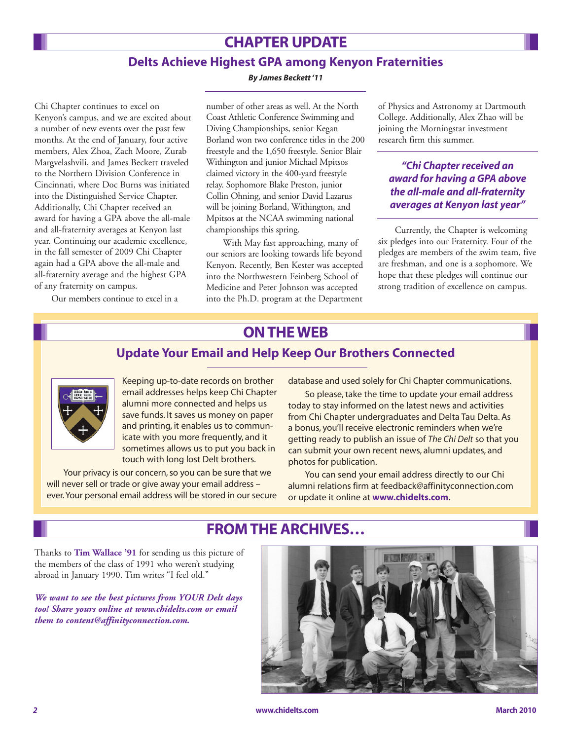# **CHAPTER UPDATE**

### **Delts Achieve Highest GPA among Kenyon Fraternities**

*By James Beckett '11*

Chi Chapter continues to excel on Kenyon's campus, and we are excited about a number of new events over the past few months. At the end of January, four active members, Alex Zhoa, Zach Moore, Zurab Margvelashvili, and James Beckett traveled to the Northern Division Conference in Cincinnati, where Doc Burns was initiated into the Distinguished Service Chapter. Additionally, Chi Chapter received an award for having a GPA above the all-male and all-fraternity averages at Kenyon last year. Continuing our academic excellence, in the fall semester of 2009 Chi Chapter again had a GPA above the all-male and all-fraternity average and the highest GPA of any fraternity on campus.

Our members continue to excel in a

number of other areas as well. At the North Coast Athletic Conference Swimming and Diving Championships, senior Kegan Borland won two conference titles in the 200 freestyle and the 1,650 freestyle. Senior Blair Withington and junior Michael Mpitsos claimed victory in the 400-yard freestyle relay. Sophomore Blake Preston, junior Collin Ohning, and senior David Lazarus will be joining Borland, Withington, and Mpitsos at the NCAA swimming national championships this spring.

With May fast approaching, many of our seniors are looking towards life beyond Kenyon. Recently, Ben Kester was accepted into the Northwestern Feinberg School of Medicine and Peter Johnson was accepted into the Ph.D. program at the Department of Physics and Astronomy at Dartmouth College. Additionally, Alex Zhao will be joining the Morningstar investment research firm this summer.

#### *"Chi Chapter received an award for having a GPA above the all-male and all-fraternity averages at Kenyon last year"*

Currently, the Chapter is welcoming six pledges into our Fraternity. Four of the pledges are members of the swim team, five are freshman, and one is a sophomore. We hope that these pledges will continue our strong tradition of excellence on campus.

# **ON THE WEB**

### **Update Your Email and Help Keep Our Brothers Connected**



Keeping up-to-date records on brother email addresses helps keep Chi Chapter alumni more connected and helps us save funds. It saves us money on paper and printing, it enables us to communicate with you more frequently, and it sometimes allows us to put you back in touch with long lost Delt brothers.

Your privacy is our concern, so you can be sure that we will never sell or trade or give away your email address ever. Your personal email address will be stored in our secure database and used solely for Chi Chapter communications.

So please, take the time to update your email address today to stay informed on the latest news and activities from Chi Chapter undergraduates and Delta Tau Delta. As a bonus, you'll receive electronic reminders when we're getting ready to publish an issue of *The Chi Delt* so that you can submit your own recent news, alumni updates, and photos for publication.

You can send your email address directly to our Chi alumni relations firm at feedback@affinityconnection.com or update it online at **www.chidelts.com**.

# **FROM THE ARCHIVES…**

Thanks to **Tim Wallace '91** for sending us this picture of the members of the class of 1991 who weren't studying abroad in January 1990. Tim writes "I feel old."

*We want to see the best pictures from YOUR Delt days too! Share yours online at www.chidelts.com or email them to content@affinityconnection.com.*

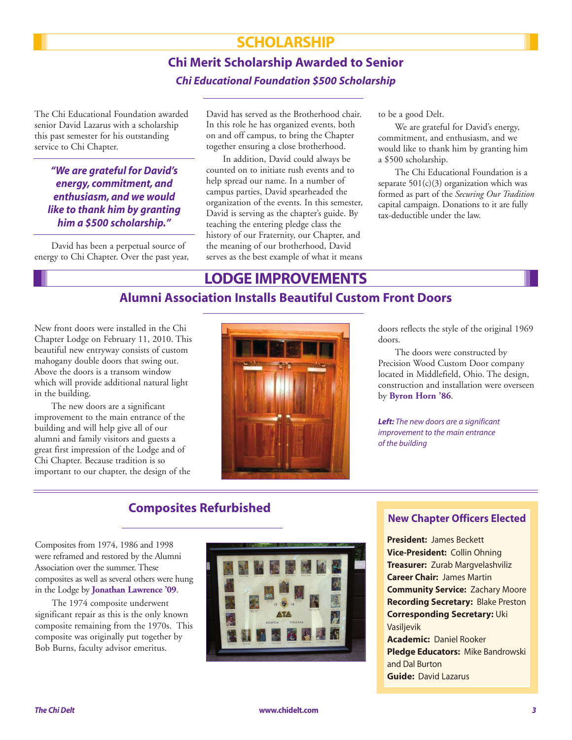## **SCHOLARSHIP**

# **Chi Merit Scholarship Awarded to Senior** *Chi Educational Foundation \$500 Scholarship*

The Chi Educational Foundation awarded senior David Lazarus with a scholarship this past semester for his outstanding service to Chi Chapter.

*"We are grateful for David's energy, commitment, and enthusiasm, and we would like to thank him by granting him a \$500 scholarship."*

David has been a perpetual source of energy to Chi Chapter. Over the past year, David has served as the Brotherhood chair. In this role he has organized events, both on and off campus, to bring the Chapter together ensuring a close brotherhood.

In addition, David could always be counted on to initiate rush events and to help spread our name. In a number of campus parties, David spearheaded the organization of the events. In this semester, David is serving as the chapter's guide. By teaching the entering pledge class the history of our Fraternity, our Chapter, and the meaning of our brotherhood, David serves as the best example of what it means to be a good Delt.

We are grateful for David's energy, commitment, and enthusiasm, and we would like to thank him by granting him a \$500 scholarship.

The Chi Educational Foundation is a separate  $501(c)(3)$  organization which was formed as part of the *Securing Our Tradition* capital campaign. Donations to it are fully tax-deductible under the law.

## **LODGE IMPROVEMENTS**

### **Alumni Association Installs Beautiful Custom Front Doors**

New front doors were installed in the Chi Chapter Lodge on February 11, 2010. This beautiful new entryway consists of custom mahogany double doors that swing out. Above the doors is a transom window which will provide additional natural light in the building.

The new doors are a significant improvement to the main entrance of the building and will help give all of our alumni and family visitors and guests a great first impression of the Lodge and of Chi Chapter. Because tradition is so important to our chapter, the design of the



doors reflects the style of the original 1969 doors.

The doors were constructed by Precision Wood Custom Door company located in Middlefield, Ohio. The design, construction and installation were overseen by **Byron Horn '86**.

*Left: The new doors are a significant improvement to the main entrance of the building*

## **Composites Refurbished**

Composites from 1974, 1986 and 1998 were reframed and restored by the Alumni Association over the summer. These composites as well as several others were hung in the Lodge by **Jonathan Lawrence '09**.

The 1974 composite underwent significant repair as this is the only known composite remaining from the 1970s. This composite was originally put together by Bob Burns, faculty advisor emeritus.



#### **New Chapter Officers Elected**

**President:** James Beckett **Vice-President:** Collin Ohning **Treasurer:** Zurab Margvelashviliz **Career Chair:** James Martin **Community Service:** Zachary Moore **Recording Secretary:** Blake Preston **Corresponding Secretary:** Uki Vasilievik **Academic:** Daniel Rooker **Pledge Educators:** Mike Bandrowski and Dal Burton **Guide:** David Lazarus